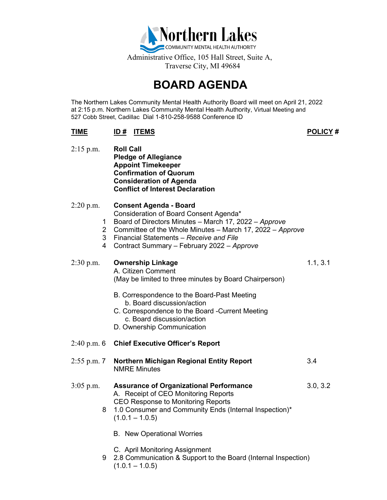

## **BOARD AGENDA**

The Northern Lakes Community Mental Health Authority Board will meet on April 21, 2022 at 2:15 p.m. Northern Lakes Community Mental Health Authority, Virtual Meeting and 527 Cobb Street, Cadillac Dial 1-810-258-9588 Conference ID

## **TIME ID # ITEMS POLICY #**

2:15 p.m. **Roll Call Pledge of Allegiance Appoint Timekeeper Confirmation of Quorum Consideration of Agenda Conflict of Interest Declaration**

| 2:20 p.m. | <b>Consent Agenda - Board</b>  |
|-----------|--------------------------------|
|           | Consideration of Desrd Consent |

- Consideration of Board Consent Agenda\*
- 1 Board of Directors Minutes March 17, 2022 *Approve*
- 2 Committee of the Whole Minutes March 17, 2022 *Approve*
- 3 Financial Statements *Receive and File*
- 4 Contract Summary February 2022 *Approve*

2:30 p.m. **Ownership Linkage** 1.1, 3.1

A. Citizen Comment (May be limited to three minutes by Board Chairperson)

- B. Correspondence to the Board-Past Meeting b. Board discussion/action
- C. Correspondence to the Board -Current Meeting c. Board discussion/action
- D. Ownership Communication
- 2:40 p.m. 6 **Chief Executive Officer's Report**
- 2:55 p.m. 7 **Northern Michigan Regional Entity Report** 3.4 NMRE Minutes
- 3:05 p.m. **Assurance of Organizational Performance** 3.0, 3.2 A. Receipt of CEO Monitoring Reports CEO Response to Monitoring Reports
	- 8 1.0 Consumer and Community Ends (Internal Inspection)\*  $(1.0.1 - 1.0.5)$ 
		- B. New Operational Worries
		- C. April Monitoring Assignment
	- 9 2.8 Communication & Support to the Board (Internal Inspection)  $(1.0.1 - 1.0.5)$